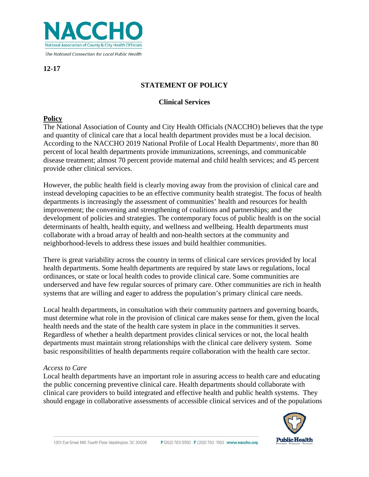

**12-17**

# **STATEMENT OF POLICY**

## **Clinical Services**

## **Policy**

The National Association of County and City Health Officials (NACCHO) believes that the type and quantity of clinical care that a local health department provides must be a local decision. According to the NACCHO 2019 National Profile of Local Health Departments<sup>1</sup>, more than 80 percent of local health departments provide immunizations, screenings, and communicable disease treatment; almost 70 percent provide maternal and child health services; and 45 percent provide other clinical services.

However, the public health field is clearly moving away from the provision of clinical care and instead developing capacities to be an effective community health strategist. The focus of health departments is increasingly the assessment of communities' health and resources for health improvement; the convening and strengthening of coalitions and partnerships; and the development of policies and strategies. The contemporary focus of public health is on the social determinants of health, health equity, and wellness and wellbeing. Health departments must collaborate with a broad array of health and non-health sectors at the community and neighborhood-levels to address these issues and build healthier communities.

There is great variability across the country in terms of clinical care services provided by local health departments. Some health departments are required by state laws or regulations, local ordinances, or state or local health codes to provide clinical care. Some communities are underserved and have few regular sources of primary care. Other communities are rich in health systems that are willing and eager to address the population's primary clinical care needs.

Local health departments, in consultation with their community partners and governing boards, must determine what role in the provision of clinical care makes sense for them, given the local health needs and the state of the health care system in place in the communities it serves. Regardless of whether a health department provides clinical services or not, the local health departments must maintain strong relationships with the clinical care delivery system. Some basic responsibilities of health departments require collaboration with the health care sector.

### *Access to Care*

Local health departments have an important role in assuring access to health care and educating the public concerning preventive clinical care. Health departments should collaborate with clinical care providers to build integrated and effective health and public health systems. They should engage in collaborative assessments of accessible clinical services and of the populations

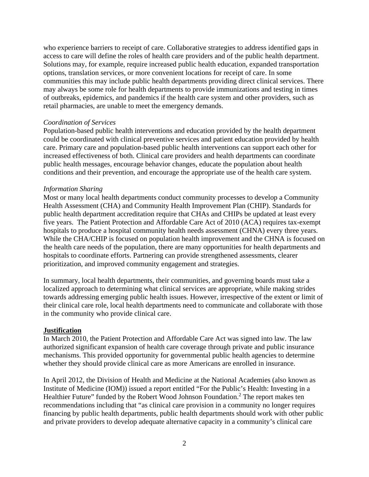who experience barriers to receipt of care. Collaborative strategies to address identified gaps in access to care will define the roles of health care providers and of the public health department. Solutions may, for example, require increased public health education, expanded transportation options, translation services, or more convenient locations for receipt of care. In some communities this may include public health departments providing direct clinical services. There may always be some role for health departments to provide immunizations and testing in times of outbreaks, epidemics, and pandemics if the health care system and other providers, such as retail pharmacies, are unable to meet the emergency demands.

#### *Coordination of Services*

Population-based public health interventions and education provided by the health department could be coordinated with clinical preventive services and patient education provided by health care. Primary care and population-based public health interventions can support each other for increased effectiveness of both. Clinical care providers and health departments can coordinate public health messages, encourage behavior changes, educate the population about health conditions and their prevention, and encourage the appropriate use of the health care system.

#### *Information Sharing*

Most or many local health departments conduct community processes to develop a Community Health Assessment (CHA) and Community Health Improvement Plan (CHIP). Standards for public health department accreditation require that CHAs and CHIPs be updated at least every five years. The Patient Protection and Affordable Care Act of 2010 (ACA) requires tax-exempt hospitals to produce a hospital community health needs assessment (CHNA) every three years. While the CHA/CHIP is focused on population health improvement and the CHNA is focused on the health care needs of the population, there are many opportunities for health departments and hospitals to coordinate efforts. Partnering can provide strengthened assessments, clearer prioritization, and improved community engagement and strategies.

In summary, local health departments, their communities, and governing boards must take a localized approach to determining what clinical services are appropriate, while making strides towards addressing emerging public health issues. However, irrespective of the extent or limit of their clinical care role, local health departments need to communicate and collaborate with those in the community who provide clinical care.

#### **Justification**

In March 2010, the Patient Protection and Affordable Care Act was signed into law. The law authorized significant expansion of health care coverage through private and public insurance mechanisms. This provided opportunity for governmental public health agencies to determine whether they should provide clinical care as more Americans are enrolled in insurance.

In April 2012, the Division of Health and Medicine at the National Academies (also known as Institute of Medicine (IOM)) issued a report entitled "For the Public's Health: Investing in a Healthier Future" funded by the Robert Wood Johnson Foundation.<sup>2</sup> The report makes ten recommendations including that "as clinical care provision in a community no longer requires financing by public health departments, public health departments should work with other public and private providers to develop adequate alternative capacity in a community's clinical care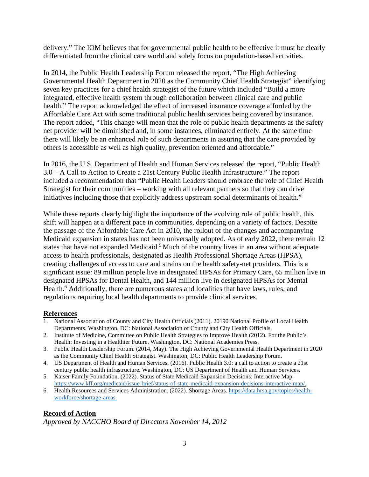delivery." The IOM believes that for governmental public health to be effective it must be clearly differentiated from the clinical care world and solely focus on population-based activities.

In 2014, the Public Health Leadership Forum released the report, "The High Achieving Governmental Health Department in 2020 as the Community Chief Health Strategist" identifying seven key practices for a chief health strategist of the future which included "Build a more integrated, effective health system through collaboration between clinical care and public health." The report acknowledged the effect of increased insurance coverage afforded by the Affordable Care Act with some traditional public health services being covered by insurance. The report added, "This change will mean that the role of public health departments as the safety net provider will be diminished and, in some instances, eliminated entirely. At the same time there will likely be an enhanced role of such departments in assuring that the care provided by others is accessible as well as high quality, prevention oriented and affordable."

In 2016, the U.S. Department of Health and Human Services released the report, "Public Health 3.0 – A Call to Action to Create a 21st Century Public Health Infrastructure." The report included a recommendation that "Public Health Leaders should embrace the role of Chief Health Strategist for their communities – working with all relevant partners so that they can drive initiatives including those that explicitly address upstream social determinants of health."

While these reports clearly highlight the importance of the evolving role of public health, this shift will happen at a different pace in communities, depending on a variety of factors. Despite the passage of the Affordable Care Act in 2010, the rollout of the changes and accompanying Medicaid expansion in states has not been universally adopted. As of early 2022, there remain 12 states that have not expanded Medicaid.<sup>5</sup> Much of the country lives in an area without adequate access to health professionals, designated as Health Professional Shortage Areas (HPSA), creating challenges of access to care and strains on the health safety-net providers. This is a significant issue: 89 million people live in designated HPSAs for Primary Care, 65 million live in designated HPSAs for Dental Health, and 144 million live in designated HPSAs for Mental Health.<sup>6</sup> Additionally, there are numerous states and localities that have laws, rules, and regulations requiring local health departments to provide clinical services.

### **References**

- 1. National Association of County and City Health Officials (2011). 20190 National Profile of Local Health Departments. Washington, DC: National Association of County and City Health Officials.
- 2. Institute of Medicine, Committee on Public Health Strategies to Improve Health (2012). For the Public's Health: Investing in a Healthier Future. Washington, DC: National Academies Press.
- 3. Public Health Leadership Forum. (2014, May). The High Achieving Governmental Health Department in 2020 as the Community Chief Health Strategist. Washington, DC: Public Health Leadership Forum.
- 4. US Department of Health and Human Services. (2016). Public Health 3.0: a call to action to create a 21st century public health infrastructure. Washington, DC: US Department of Health and Human Services.
- 5. Kaiser Family Foundation. (2022). Status of State Medicaid Expansion Decisions: Interactive Map. [https://www.kff.org/medicaid/issue-brief/status-of-state-medicaid-expansion-decisions-interactive-map/.](https://www.kff.org/medicaid/issue-brief/status-of-state-medicaid-expansion-decisions-interactive-map/)
- 6. Health Resources and Services Administration. (2022). Shortage Areas[. https://data.hrsa.gov/topics/health](https://data.hrsa.gov/topics/health-workforce/shortage-areas)[workforce/shortage-areas.](https://data.hrsa.gov/topics/health-workforce/shortage-areas)

### **Record of Action**

*Approved by NACCHO Board of Directors November 14, 2012*